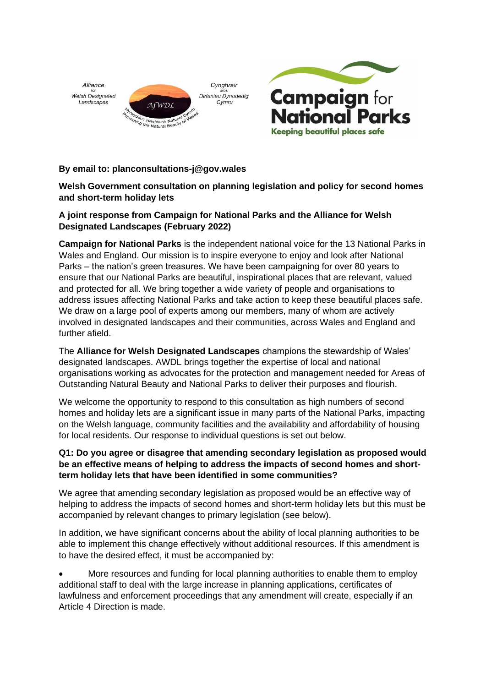



# **By email to: planconsultations-j@gov.wales**

# **Welsh Government consultation on planning legislation and policy for second homes and short-term holiday lets**

# **A joint response from Campaign for National Parks and the Alliance for Welsh Designated Landscapes (February 2022)**

**Campaign for National Parks** is the independent national voice for the 13 National Parks in Wales and England. Our mission is to inspire everyone to enjoy and look after National Parks – the nation's green treasures. We have been campaigning for over 80 years to ensure that our National Parks are beautiful, inspirational places that are relevant, valued and protected for all. We bring together a wide variety of people and organisations to address issues affecting National Parks and take action to keep these beautiful places safe. We draw on a large pool of experts among our members, many of whom are actively involved in designated landscapes and their communities, across Wales and England and further afield.

The **Alliance for Welsh Designated Landscapes** champions the stewardship of Wales' designated landscapes. AWDL brings together the expertise of local and national organisations working as advocates for the protection and management needed for Areas of Outstanding Natural Beauty and National Parks to deliver their purposes and flourish.

We welcome the opportunity to respond to this consultation as high numbers of second homes and holiday lets are a significant issue in many parts of the National Parks, impacting on the Welsh language, community facilities and the availability and affordability of housing for local residents. Our response to individual questions is set out below.

### **Q1: Do you agree or disagree that amending secondary legislation as proposed would be an effective means of helping to address the impacts of second homes and shortterm holiday lets that have been identified in some communities?**

We agree that amending secondary legislation as proposed would be an effective way of helping to address the impacts of second homes and short-term holiday lets but this must be accompanied by relevant changes to primary legislation (see below).

In addition, we have significant concerns about the ability of local planning authorities to be able to implement this change effectively without additional resources. If this amendment is to have the desired effect, it must be accompanied by:

• More resources and funding for local planning authorities to enable them to employ additional staff to deal with the large increase in planning applications, certificates of lawfulness and enforcement proceedings that any amendment will create, especially if an Article 4 Direction is made.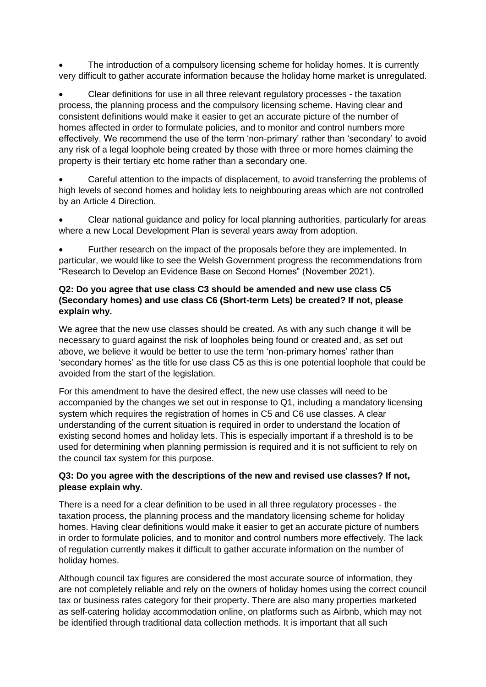The introduction of a compulsory licensing scheme for holiday homes. It is currently very difficult to gather accurate information because the holiday home market is unregulated.

• Clear definitions for use in all three relevant regulatory processes - the taxation process, the planning process and the compulsory licensing scheme. Having clear and consistent definitions would make it easier to get an accurate picture of the number of homes affected in order to formulate policies, and to monitor and control numbers more effectively. We recommend the use of the term 'non-primary' rather than 'secondary' to avoid any risk of a legal loophole being created by those with three or more homes claiming the property is their tertiary etc home rather than a secondary one.

• Careful attention to the impacts of displacement, to avoid transferring the problems of high levels of second homes and holiday lets to neighbouring areas which are not controlled by an Article 4 Direction.

• Clear national guidance and policy for local planning authorities, particularly for areas where a new Local Development Plan is several years away from adoption.

• Further research on the impact of the proposals before they are implemented. In particular, we would like to see the Welsh Government progress the recommendations from "Research to Develop an Evidence Base on Second Homes" (November 2021).

# **Q2: Do you agree that use class C3 should be amended and new use class C5 (Secondary homes) and use class C6 (Short-term Lets) be created? If not, please explain why.**

We agree that the new use classes should be created. As with any such change it will be necessary to guard against the risk of loopholes being found or created and, as set out above, we believe it would be better to use the term 'non-primary homes' rather than 'secondary homes' as the title for use class C5 as this is one potential loophole that could be avoided from the start of the legislation.

For this amendment to have the desired effect, the new use classes will need to be accompanied by the changes we set out in response to Q1, including a mandatory licensing system which requires the registration of homes in C5 and C6 use classes. A clear understanding of the current situation is required in order to understand the location of existing second homes and holiday lets. This is especially important if a threshold is to be used for determining when planning permission is required and it is not sufficient to rely on the council tax system for this purpose.

# **Q3: Do you agree with the descriptions of the new and revised use classes? If not, please explain why.**

There is a need for a clear definition to be used in all three regulatory processes - the taxation process, the planning process and the mandatory licensing scheme for holiday homes. Having clear definitions would make it easier to get an accurate picture of numbers in order to formulate policies, and to monitor and control numbers more effectively. The lack of regulation currently makes it difficult to gather accurate information on the number of holiday homes.

Although council tax figures are considered the most accurate source of information, they are not completely reliable and rely on the owners of holiday homes using the correct council tax or business rates category for their property. There are also many properties marketed as self-catering holiday accommodation online, on platforms such as Airbnb, which may not be identified through traditional data collection methods. It is important that all such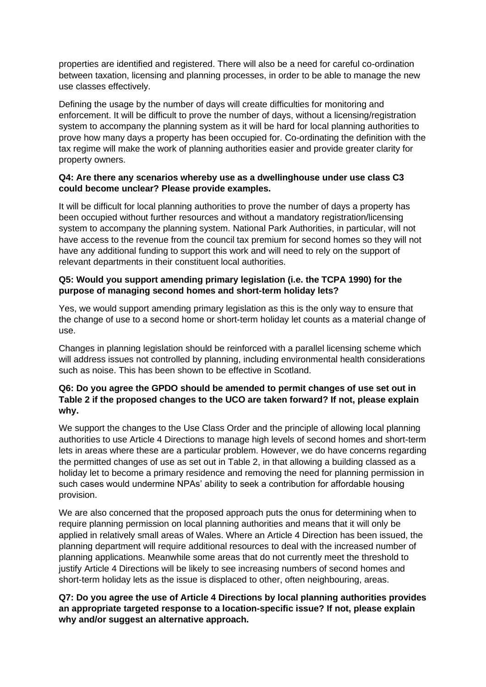properties are identified and registered. There will also be a need for careful co-ordination between taxation, licensing and planning processes, in order to be able to manage the new use classes effectively.

Defining the usage by the number of days will create difficulties for monitoring and enforcement. It will be difficult to prove the number of days, without a licensing/registration system to accompany the planning system as it will be hard for local planning authorities to prove how many days a property has been occupied for. Co-ordinating the definition with the tax regime will make the work of planning authorities easier and provide greater clarity for property owners.

### **Q4: Are there any scenarios whereby use as a dwellinghouse under use class C3 could become unclear? Please provide examples.**

It will be difficult for local planning authorities to prove the number of days a property has been occupied without further resources and without a mandatory registration/licensing system to accompany the planning system. National Park Authorities, in particular, will not have access to the revenue from the council tax premium for second homes so they will not have any additional funding to support this work and will need to rely on the support of relevant departments in their constituent local authorities.

# **Q5: Would you support amending primary legislation (i.e. the TCPA 1990) for the purpose of managing second homes and short-term holiday lets?**

Yes, we would support amending primary legislation as this is the only way to ensure that the change of use to a second home or short-term holiday let counts as a material change of use.

Changes in planning legislation should be reinforced with a parallel licensing scheme which will address issues not controlled by planning, including environmental health considerations such as noise. This has been shown to be effective in Scotland.

### **Q6: Do you agree the GPDO should be amended to permit changes of use set out in Table 2 if the proposed changes to the UCO are taken forward? If not, please explain why.**

We support the changes to the Use Class Order and the principle of allowing local planning authorities to use Article 4 Directions to manage high levels of second homes and short-term lets in areas where these are a particular problem. However, we do have concerns regarding the permitted changes of use as set out in Table 2, in that allowing a building classed as a holiday let to become a primary residence and removing the need for planning permission in such cases would undermine NPAs' ability to seek a contribution for affordable housing provision.

We are also concerned that the proposed approach puts the onus for determining when to require planning permission on local planning authorities and means that it will only be applied in relatively small areas of Wales. Where an Article 4 Direction has been issued, the planning department will require additional resources to deal with the increased number of planning applications. Meanwhile some areas that do not currently meet the threshold to justify Article 4 Directions will be likely to see increasing numbers of second homes and short-term holiday lets as the issue is displaced to other, often neighbouring, areas.

### **Q7: Do you agree the use of Article 4 Directions by local planning authorities provides an appropriate targeted response to a location-specific issue? If not, please explain why and/or suggest an alternative approach.**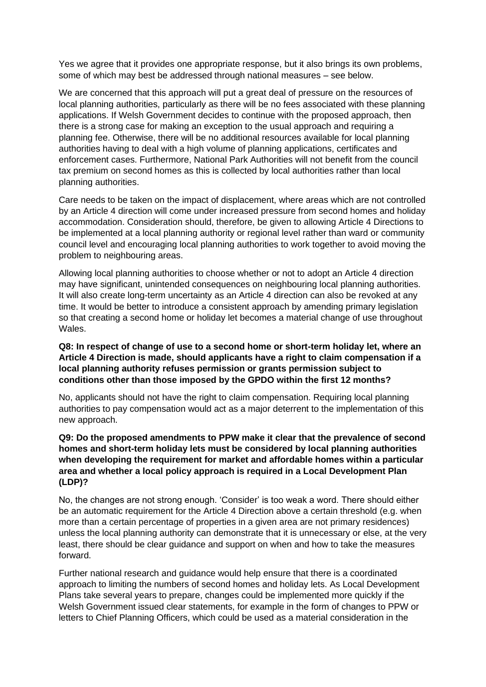Yes we agree that it provides one appropriate response, but it also brings its own problems, some of which may best be addressed through national measures – see below.

We are concerned that this approach will put a great deal of pressure on the resources of local planning authorities, particularly as there will be no fees associated with these planning applications. If Welsh Government decides to continue with the proposed approach, then there is a strong case for making an exception to the usual approach and requiring a planning fee. Otherwise, there will be no additional resources available for local planning authorities having to deal with a high volume of planning applications, certificates and enforcement cases. Furthermore, National Park Authorities will not benefit from the council tax premium on second homes as this is collected by local authorities rather than local planning authorities.

Care needs to be taken on the impact of displacement, where areas which are not controlled by an Article 4 direction will come under increased pressure from second homes and holiday accommodation. Consideration should, therefore, be given to allowing Article 4 Directions to be implemented at a local planning authority or regional level rather than ward or community council level and encouraging local planning authorities to work together to avoid moving the problem to neighbouring areas.

Allowing local planning authorities to choose whether or not to adopt an Article 4 direction may have significant, unintended consequences on neighbouring local planning authorities. It will also create long-term uncertainty as an Article 4 direction can also be revoked at any time. It would be better to introduce a consistent approach by amending primary legislation so that creating a second home or holiday let becomes a material change of use throughout Wales.

#### **Q8: In respect of change of use to a second home or short-term holiday let, where an Article 4 Direction is made, should applicants have a right to claim compensation if a local planning authority refuses permission or grants permission subject to conditions other than those imposed by the GPDO within the first 12 months?**

No, applicants should not have the right to claim compensation. Requiring local planning authorities to pay compensation would act as a major deterrent to the implementation of this new approach.

# **Q9: Do the proposed amendments to PPW make it clear that the prevalence of second homes and short-term holiday lets must be considered by local planning authorities when developing the requirement for market and affordable homes within a particular area and whether a local policy approach is required in a Local Development Plan (LDP)?**

No, the changes are not strong enough. 'Consider' is too weak a word. There should either be an automatic requirement for the Article 4 Direction above a certain threshold (e.g. when more than a certain percentage of properties in a given area are not primary residences) unless the local planning authority can demonstrate that it is unnecessary or else, at the very least, there should be clear guidance and support on when and how to take the measures forward.

Further national research and guidance would help ensure that there is a coordinated approach to limiting the numbers of second homes and holiday lets. As Local Development Plans take several years to prepare, changes could be implemented more quickly if the Welsh Government issued clear statements, for example in the form of changes to PPW or letters to Chief Planning Officers, which could be used as a material consideration in the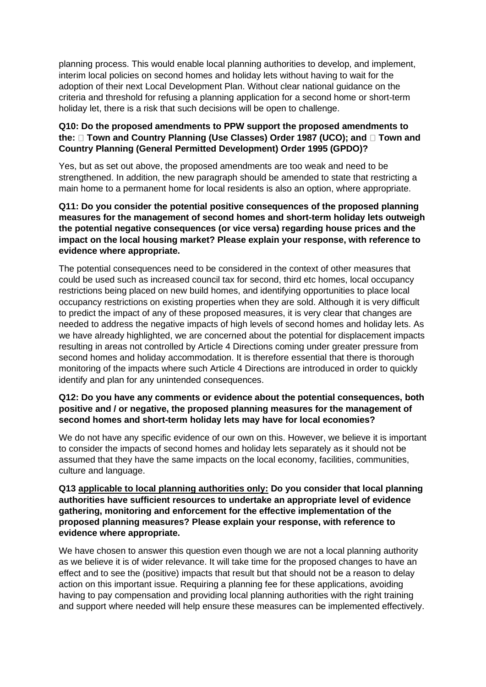planning process. This would enable local planning authorities to develop, and implement, interim local policies on second homes and holiday lets without having to wait for the adoption of their next Local Development Plan. Without clear national guidance on the criteria and threshold for refusing a planning application for a second home or short-term holiday let, there is a risk that such decisions will be open to challenge.

# **Q10: Do the proposed amendments to PPW support the proposed amendments to**  the:  $\Box$  Town and Country Planning (Use Classes) Order 1987 (UCO); and  $\Box$  Town and **Country Planning (General Permitted Development) Order 1995 (GPDO)?**

Yes, but as set out above, the proposed amendments are too weak and need to be strengthened. In addition, the new paragraph should be amended to state that restricting a main home to a permanent home for local residents is also an option, where appropriate.

# **Q11: Do you consider the potential positive consequences of the proposed planning measures for the management of second homes and short-term holiday lets outweigh the potential negative consequences (or vice versa) regarding house prices and the impact on the local housing market? Please explain your response, with reference to evidence where appropriate.**

The potential consequences need to be considered in the context of other measures that could be used such as increased council tax for second, third etc homes, local occupancy restrictions being placed on new build homes, and identifying opportunities to place local occupancy restrictions on existing properties when they are sold. Although it is very difficult to predict the impact of any of these proposed measures, it is very clear that changes are needed to address the negative impacts of high levels of second homes and holiday lets. As we have already highlighted, we are concerned about the potential for displacement impacts resulting in areas not controlled by Article 4 Directions coming under greater pressure from second homes and holiday accommodation. It is therefore essential that there is thorough monitoring of the impacts where such Article 4 Directions are introduced in order to quickly identify and plan for any unintended consequences.

### **Q12: Do you have any comments or evidence about the potential consequences, both positive and / or negative, the proposed planning measures for the management of second homes and short-term holiday lets may have for local economies?**

We do not have any specific evidence of our own on this. However, we believe it is important to consider the impacts of second homes and holiday lets separately as it should not be assumed that they have the same impacts on the local economy, facilities, communities, culture and language.

### **Q13 applicable to local planning authorities only: Do you consider that local planning authorities have sufficient resources to undertake an appropriate level of evidence gathering, monitoring and enforcement for the effective implementation of the proposed planning measures? Please explain your response, with reference to evidence where appropriate.**

We have chosen to answer this question even though we are not a local planning authority as we believe it is of wider relevance. It will take time for the proposed changes to have an effect and to see the (positive) impacts that result but that should not be a reason to delay action on this important issue. Requiring a planning fee for these applications, avoiding having to pay compensation and providing local planning authorities with the right training and support where needed will help ensure these measures can be implemented effectively.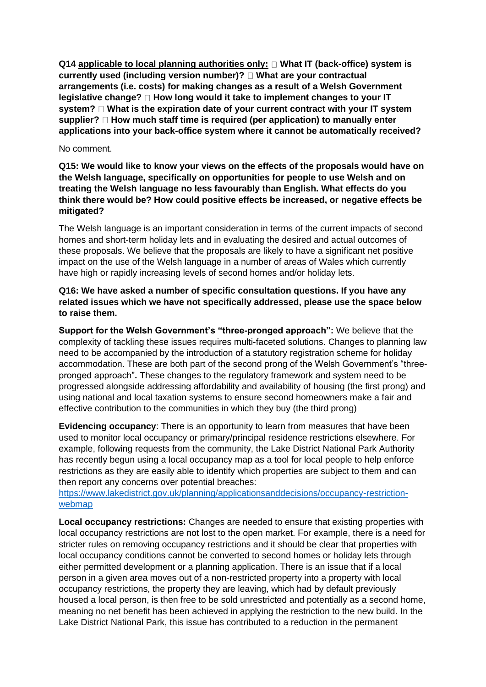**Q14 applicable to local planning authorities only: What IT (back-office) system is currently used (including version number)? What are your contractual arrangements (i.e. costs) for making changes as a result of a Welsh Government legislative change?** □ How long would it take to implement changes to your IT **system? What is the expiration date of your current contract with your IT system**  supplier? □ How much staff time is required (per application) to manually enter **applications into your back-office system where it cannot be automatically received?** 

#### No comment.

**Q15: We would like to know your views on the effects of the proposals would have on the Welsh language, specifically on opportunities for people to use Welsh and on treating the Welsh language no less favourably than English. What effects do you think there would be? How could positive effects be increased, or negative effects be mitigated?** 

The Welsh language is an important consideration in terms of the current impacts of second homes and short-term holiday lets and in evaluating the desired and actual outcomes of these proposals. We believe that the proposals are likely to have a significant net positive impact on the use of the Welsh language in a number of areas of Wales which currently have high or rapidly increasing levels of second homes and/or holiday lets.

**Q16: We have asked a number of specific consultation questions. If you have any related issues which we have not specifically addressed, please use the space below to raise them.**

**Support for the Welsh Government's "three-pronged approach":** We believe that the complexity of tackling these issues requires multi-faceted solutions. Changes to planning law need to be accompanied by the introduction of a statutory registration scheme for holiday accommodation. These are both part of the second prong of the Welsh Government's "threepronged approach"**.** These changes to the regulatory framework and system need to be progressed alongside addressing affordability and availability of housing (the first prong) and using national and local taxation systems to ensure second homeowners make a fair and effective contribution to the communities in which they buy (the third prong)

**Evidencing occupancy**: There is an opportunity to learn from measures that have been used to monitor local occupancy or primary/principal residence restrictions elsewhere. For example, following requests from the community, the Lake District National Park Authority has recently begun using a local occupancy map as a tool for local people to help enforce restrictions as they are easily able to identify which properties are subject to them and can then report any concerns over potential breaches:

[https://www.lakedistrict.gov.uk/planning/applicationsanddecisions/occupancy-restriction](https://www.lakedistrict.gov.uk/planning/applicationsanddecisions/occupancy-restriction-webmap)[webmap](https://www.lakedistrict.gov.uk/planning/applicationsanddecisions/occupancy-restriction-webmap)

**Local occupancy restrictions:** Changes are needed to ensure that existing properties with local occupancy restrictions are not lost to the open market. For example, there is a need for stricter rules on removing occupancy restrictions and it should be clear that properties with local occupancy conditions cannot be converted to second homes or holiday lets through either permitted development or a planning application. There is an issue that if a local person in a given area moves out of a non-restricted property into a property with local occupancy restrictions, the property they are leaving, which had by default previously housed a local person, is then free to be sold unrestricted and potentially as a second home, meaning no net benefit has been achieved in applying the restriction to the new build. In the Lake District National Park, this issue has contributed to a reduction in the permanent